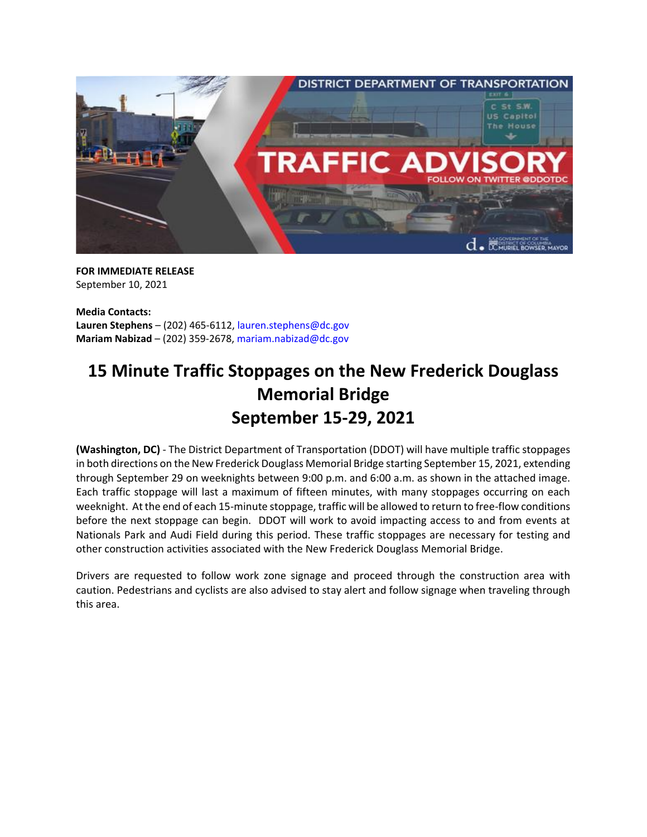

**FOR IMMEDIATE RELEASE** September 10, 2021

**Media Contacts: Lauren Stephens** – (202) 465-6112, [lauren.stephens@dc.gov](mailto:lauren.stephens@dc.gov) **Mariam Nabizad** – (202) 359-2678, [mariam.nabizad@dc.gov](mailto:mariam.nabizad@dc.gov)

## **15 Minute Traffic Stoppages on the New Frederick Douglass Memorial Bridge September 15-29, 2021**

**(Washington, DC)** - The District Department of Transportation (DDOT) will have multiple traffic stoppages in both directions on the New Frederick Douglass Memorial Bridge starting September 15, 2021, extending through September 29 on weeknights between 9:00 p.m. and 6:00 a.m. as shown in the attached image. Each traffic stoppage will last a maximum of fifteen minutes, with many stoppages occurring on each weeknight. At the end of each 15-minute stoppage, traffic will be allowed to return to free-flow conditions before the next stoppage can begin. DDOT will work to avoid impacting access to and from events at Nationals Park and Audi Field during this period. These traffic stoppages are necessary for testing and other construction activities associated with the New Frederick Douglass Memorial Bridge.

Drivers are requested to follow work zone signage and proceed through the construction area with caution. Pedestrians and cyclists are also advised to stay alert and follow signage when traveling through this area.